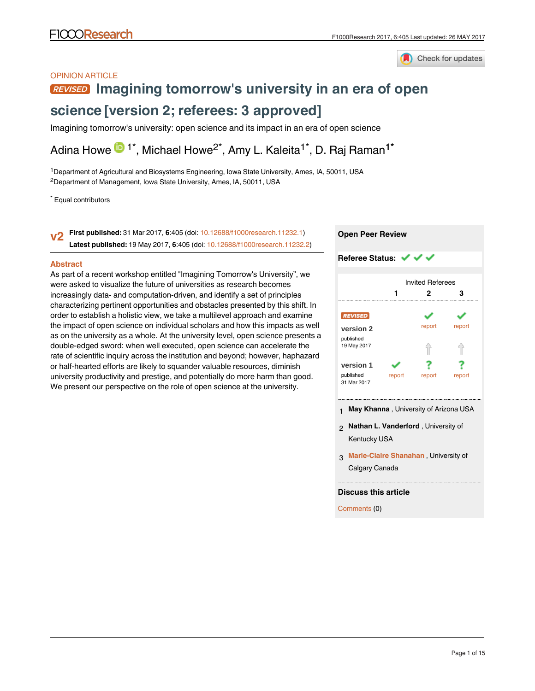

## OPINION ARTICLE

# **[Imagining tomorrow's university in an era of open](https://f1000research.com/articles/6-405/v2)**

# **[science](https://f1000research.com/articles/6-405/v2) [version 2; referees: 3 approved]**

Imagining tomorrow's university: open science and its impact in an era of open science

Adina Howe  $\mathbf{D}$  1\*, Michael Howe<sup>2\*</sup>, Amy L. Kaleita<sup>1\*</sup>, D. Raj Raman<sup>1\*</sup>

<sup>1</sup>Department of Agricultural and Biosystems Engineering, Iowa State University, Ames, IA, 50011, USA <sup>2</sup>Department of Management, Iowa State University, Ames, IA, 50011, USA

\* Equal contributors

**First published:** 31 Mar 2017, **6**:405 (doi: [10.12688/f1000research.11232.1\)](http://dx.doi.org/10.12688/f1000research.11232.1) **Latest published:** 19 May 2017, **6**:405 (doi: [10.12688/f1000research.11232.2](http://dx.doi.org/10.12688/f1000research.11232.2)) **v2**

### **Abstract**

As part of a recent workshop entitled "Imagining Tomorrow's University", we were asked to visualize the future of universities as research becomes increasingly data- and computation-driven, and identify a set of principles characterizing pertinent opportunities and obstacles presented by this shift. In order to establish a holistic view, we take a multilevel approach and examine the impact of open science on individual scholars and how this impacts as well as on the university as a whole. At the university level, open science presents a double-edged sword: when well executed, open science can accelerate the rate of scientific inquiry across the institution and beyond; however, haphazard or half-hearted efforts are likely to squander valuable resources, diminish university productivity and prestige, and potentially do more harm than good. We present our perspective on the role of open science at the university.

# **Open Peer Review**

#### **Referee Status: √ √** Invited Referees **1 2 3** ر. report report **[version 2](https://f1000research.com/articles/6-405/v2)** published .<br>19 May 2017 ⇑ ⇑ ? ? **[version 1](https://f1000research.com/articles/6-405/v1)** published report report report 31 Mar 2017

- 1 **May Khanna** , University of Arizona USA
- **Nathan L. Vanderford** , University of 2 Kentucky USA
- **Marie-Claire Shanahan** , University of 3 Calgary Canada

### **Discuss this article**

Comments (0)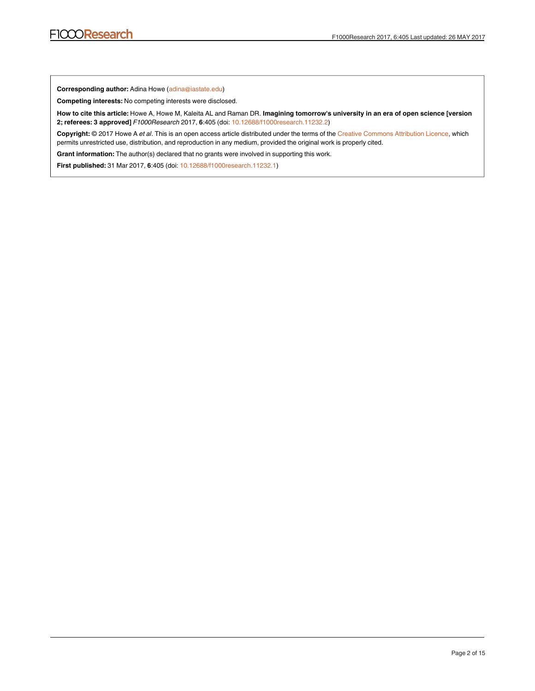**Corresponding author:** Adina Howe (adina@iastate.edu)

**Competing interests:** No competing interests were disclosed.

**How to cite this article:** Howe A, Howe M, Kaleita AL and Raman DR. **Imagining tomorrow's university in an era of open science [version 2; referees: 3 approved]** *F1000Research* 2017, **6**:405 (doi: [10.12688/f1000research.11232.2\)](http://dx.doi.org/10.12688/f1000research.11232.2)

**Copyright:** © 2017 Howe A *et al*. This is an open access article distributed under the terms of the [Creative Commons Attribution Licence](http://creativecommons.org/licenses/by/4.0/), which permits unrestricted use, distribution, and reproduction in any medium, provided the original work is properly cited.

Grant information: The author(s) declared that no grants were involved in supporting this work.

**First published:** 31 Mar 2017, **6**:405 (doi: [10.12688/f1000research.11232.1](http://dx.doi.org/10.12688/f1000research.11232.1))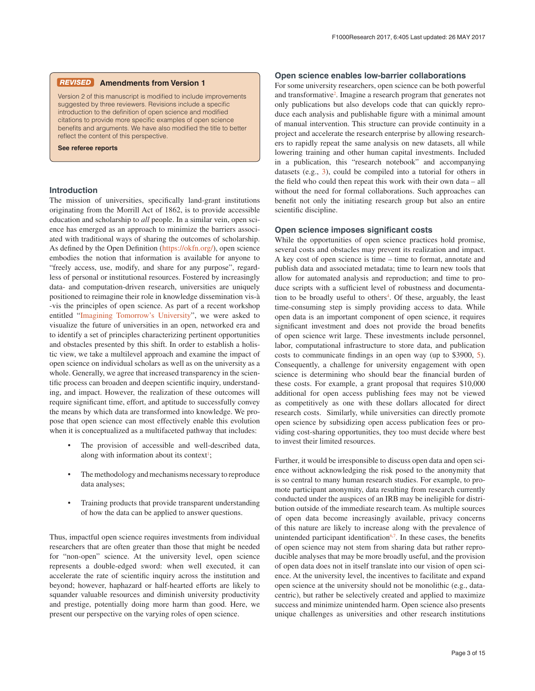### **Amendments from Version 1** *REVISED*

Version 2 of this manuscript is modified to include improvements suggested by three reviewers. Revisions include a specific introduction to the definition of open science and modified citations to provide more specific examples of open science benefits and arguments. We have also modified the title to better reflect the content of this perspective.

**See referee reports**

### **Introduction**

The mission of universities, specifically land-grant institutions originating from the Morrill Act of 1862, is to provide accessible education and scholarship to *all* people. In a similar vein, open science has emerged as an approach to minimize the barriers associated with traditional ways of sharing the outcomes of scholarship. As defined by the Open Definition ([https://okfn.org/\)](https://okfn.org/), open science embodies the notion that information is available for anyone to "freely access, use, modify, and share for any purpose", regardless of personal or institutional resources. Fostered by increasingly data- and computation-driven research, universities are uniquely positioned to reimagine their role in knowledge dissemination vis-à -vis the principles of open science. As part of a recent workshop entitled ["Imagining Tomorrow's University"](http://www.ncsa.illinois.edu/Conferences/ImagineU/), we were asked to visualize the future of universities in an open, networked era and to identify a set of principles characterizing pertinent opportunities and obstacles presented by this shift. In order to establish a holistic view, we take a multilevel approach and examine the impact of open science on individual scholars as well as on the university as a whole. Generally, we agree that increased transparency in the scientific process can broaden and deepen scientific inquiry, understanding, and impact. However, the realization of these outcomes will require significant time, effort, and aptitude to successfully convey the means by which data are transformed into knowledge. We propose that open science can most effectively enable this evolution when it is conceptualized as a multifaceted pathway that includes:

- The provision of accessible and well-described data, along with information about its context<sup>1</sup>;
- The methodology and mechanisms necessary to reproduce data analyses;
- Training products that provide transparent understanding of how the data can be applied to answer questions.

Thus, impactful open science requires investments from individual researchers that are often greater than those that might be needed for "non-open" science. At the university level, open science represents a double-edged sword: when well executed, it can accelerate the rate of scientific inquiry across the institution and beyond; however, haphazard or half-hearted efforts are likely to squander valuable resources and diminish university productivity and prestige, potentially doing more harm than good. Here, we present our perspective on the varying roles of open science.

### **Open science enables low-barrier collaborations**

For some university researchers, open science can be both powerful and transformative<sup>2</sup>. Imagine a research program that generates not only publications but also develops code that can quickly reproduce each analysis and publishable figure with a minimal amount of manual intervention. This structure can provide continuity in a project and accelerate the research enterprise by allowing researchers to rapidly repeat the same analysis on new datasets, all while lowering training and other human capital investments. Included in a publication, this "research notebook" and accompanying datasets (e.g., [3\)](#page-4-0), could be compiled into a tutorial for others in the field who could then repeat this work with their own data – all without the need for formal collaborations. Such approaches can benefit not only the initiating research group but also an entire scientific discipline.

### **Open science imposes significant costs**

While the opportunities of open science practices hold promise, several costs and obstacles may prevent its realization and impact. A key cost of open science is time – time to format, annotate and publish data and associated metadata; time to learn new tools that allow for automated analysis and reproduction; and time to produce scripts with a sufficient level of robustness and documenta-tion to be broadly useful to others<sup>[4](#page-4-0)</sup>. Of these, arguably, the least time-consuming step is simply providing access to data. While open data is an important component of open science, it requires significant investment and does not provide the broad benefits of open science writ large. These investments include personnel, labor, computational infrastructure to store data, and publication costs to communicate findings in an open way (up to \$3900, [5](#page-4-0)). Consequently, a challenge for university engagement with open science is determining who should bear the financial burden of these costs. For example, a grant proposal that requires \$10,000 additional for open access publishing fees may not be viewed as competitively as one with these dollars allocated for direct research costs. Similarly, while universities can directly promote open science by subsidizing open access publication fees or providing cost-sharing opportunities, they too must decide where best to invest their limited resources.

Further, it would be irresponsible to discuss open data and open science without acknowledging the risk posed to the anonymity that is so central to many human research studies. For example, to promote participant anonymity, data resulting from research currently conducted under the auspices of an IRB may be ineligible for distribution outside of the immediate research team. As multiple sources of open data become increasingly available, privacy concerns of this nature are likely to increase along with the prevalence of unintended participant identification $6,7$ . In these cases, the benefits of open science may not stem from sharing data but rather reproducible analyses that may be more broadly useful, and the provision of open data does not in itself translate into our vision of open science. At the university level, the incentives to facilitate and expand open science at the university should not be monolithic (e.g., datacentric), but rather be selectively created and applied to maximize success and minimize unintended harm. Open science also presents unique challenges as universities and other research institutions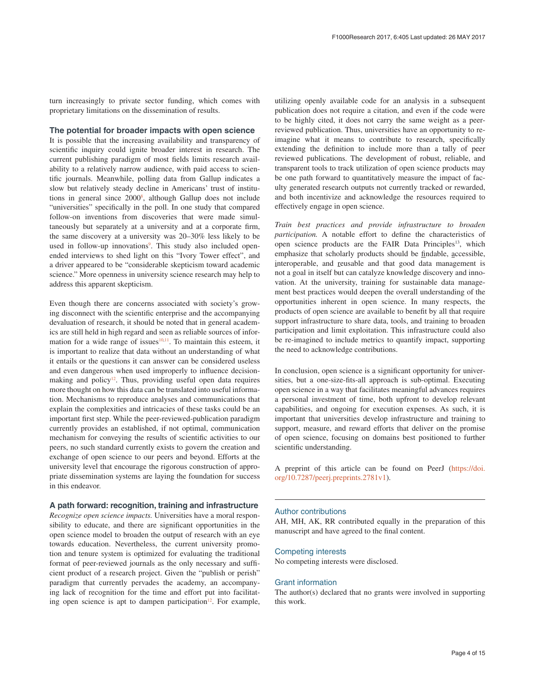turn increasingly to private sector funding, which comes with proprietary limitations on the dissemination of results.

### **The potential for broader impacts with open science**

It is possible that the increasing availability and transparency of scientific inquiry could ignite broader interest in research. The current publishing paradigm of most fields limits research availability to a relatively narrow audience, with paid access to scientific journals. Meanwhile, polling data from Gallup indicates a slow but relatively steady decline in Americans' trust of institutions in general since 2000<sup>8</sup>, although Gallup does not include "universities" specifically in the poll. In one study that compared follow-on inventions from discoveries that were made simultaneously but separately at a university and at a corporate firm, the same discovery at a university was 20–30% less likely to be used in follow-up innovations<sup>[9](#page-4-0)</sup>. This study also included openended interviews to shed light on this "Ivory Tower effect", and a driver appeared to be "considerable skepticism toward academic science." More openness in university science research may help to address this apparent skepticism.

Even though there are concerns associated with society's growing disconnect with the scientific enterprise and the accompanying devaluation of research, it should be noted that in general academics are still held in high regard and seen as reliable sources of information for a wide range of issues $10,11$ . To maintain this esteem, it is important to realize that data without an understanding of what it entails or the questions it can answer can be considered useless and even dangerous when used improperly to influence decisionmaking and policy<sup>12</sup>. Thus, providing useful open data requires more thought on how this data can be translated into useful information. Mechanisms to reproduce analyses and communications that explain the complexities and intricacies of these tasks could be an important first step. While the peer-reviewed-publication paradigm currently provides an established, if not optimal, communication mechanism for conveying the results of scientific activities to our peers, no such standard currently exists to govern the creation and exchange of open science to our peers and beyond. Efforts at the university level that encourage the rigorous construction of appropriate dissemination systems are laying the foundation for success in this endeavor.

### **A path forward: recognition, training and infrastructure**

*Recognize open science impacts.* Universities have a moral responsibility to educate, and there are significant opportunities in the open science model to broaden the output of research with an eye towards education. Nevertheless, the current university promotion and tenure system is optimized for evaluating the traditional format of peer-reviewed journals as the only necessary and sufficient product of a research project. Given the "publish or perish" paradigm that currently pervades the academy, an accompanying lack of recognition for the time and effort put into facilitating open science is apt to dampen participation<sup>12</sup>. For example,

utilizing openly available code for an analysis in a subsequent publication does not require a citation, and even if the code were to be highly cited, it does not carry the same weight as a peerreviewed publication. Thus, universities have an opportunity to reimagine what it means to contribute to research, specifically extending the definition to include more than a tally of peer reviewed publications. The development of robust, reliable, and transparent tools to track utilization of open science products may be one path forward to quantitatively measure the impact of faculty generated research outputs not currently tracked or rewarded, and both incentivize and acknowledge the resources required to effectively engage in open science.

*Train best practices and provide infrastructure to broaden participation.* A notable effort to define the characteristics of open science products are the FAIR Data Principles<sup>13</sup>, which emphasize that scholarly products should be findable, accessible, interoperable, and reusable and that good data management is not a goal in itself but can catalyze knowledge discovery and innovation. At the university, training for sustainable data management best practices would deepen the overall understanding of the opportunities inherent in open science. In many respects, the products of open science are available to benefit by all that require support infrastructure to share data, tools, and training to broaden participation and limit exploitation. This infrastructure could also be re-imagined to include metrics to quantify impact, supporting the need to acknowledge contributions.

In conclusion, open science is a significant opportunity for universities, but a one-size-fits-all approach is sub-optimal. Executing open science in a way that facilitates meaningful advances requires a personal investment of time, both upfront to develop relevant capabilities, and ongoing for execution expenses. As such, it is important that universities develop infrastructure and training to support, measure, and reward efforts that deliver on the promise of open science, focusing on domains best positioned to further scientific understanding.

A preprint of this article can be found on PeerJ ([https://doi.](https://doi.org/10.7287/peerj.preprints.2781v1) [org/10.7287/peerj.preprints.2781v1](https://doi.org/10.7287/peerj.preprints.2781v1)).

### Author contributions

AH, MH, AK, RR contributed equally in the preparation of this manuscript and have agreed to the final content.

### Competing interests

No competing interests were disclosed.

### Grant information

The author(s) declared that no grants were involved in supporting this work.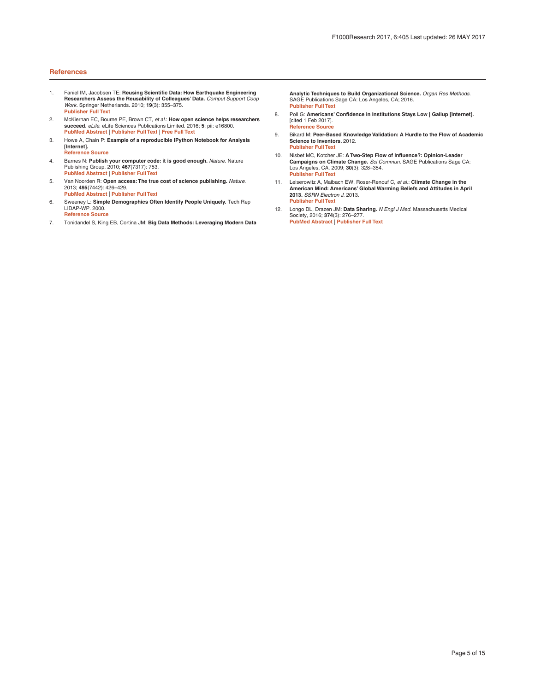### <span id="page-4-0"></span>**References**

- 1. Faniel IM, Jacobsen TE: **Reusing Scientific Data: How Earthquake Engineering Researchers Assess the Reusability of Colleagues' Data.** *Comput Support Coop Work.* Springer Netherlands. 2010; **19**(3): 355–375. **[Publisher Full Text](http://dx.doi.org/10.1007/s10606-010-9117-8)**
- 2. McKiernan EC, Bourne PE, Brown CT, *et al.*: **How open science helps researchers succeed.** *eLife.* eLife Sciences Publications Limited. 2016; **5**: pii: e16800. **[PubMed Abstract](http://www.ncbi.nlm.nih.gov/pubmed/27387362)** | **[Publisher Full Text](http://dx.doi.org/10.7554/eLife.16800)** | **[Free Full Text](http://www.ncbi.nlm.nih.gov/pmc/articles/4973366)**
- 3. Howe A, Chain P: **Example of a reproducible IPython Notebook for Analysis [Internet]. [Reference Source](http://nbviewer.jupyter.org/github/germs-lab/frontiers-review-2015/blob/master/frontiers-nb-2015.ipynb)**
- 4. Barnes N: **Publish your computer code: it is good enough.** *Nature.* Nature Publishing Group. 2010; **467**(7317): 753. **[PubMed Abstract](http://www.ncbi.nlm.nih.gov/pubmed/20944687)** | **[Publisher Full Text](http://dx.doi.org/10.1038/467753a)**
- 5. Van Noorden R: **Open access: The true cost of science publishing.** *Nature.* 2013; **495**(7442): 426–429. **[PubMed Abstract](http://www.ncbi.nlm.nih.gov/pubmed/23538808)** | **[Publisher Full Text](http://dx.doi.org/10.1038/495426a)**
- 6. Sweeney L: **Simple Demographics Often Identify People Uniquely.** Tech Rep LIDAP-WP. 2000. **[Reference Source](http://dataprivacylab.org/projects/identifiability/paper1.pdf)**
- 7. Tonidandel S, King EB, Cortina JM: **Big Data Methods: Leveraging Modern Data**

**Analytic Techniques to Build Organizational Science.** *Organ Res Methods.* SAGE Publications Sage CA: Los Angeles, CA; 2016. **[Publisher Full Text](http://dx.doi.org/10.1177/1094428116677299)**

- 8. Poll G: **Americans' Confidence in Institutions Stays Low | Gallup [Internet].**  [cited 1 Feb 2017]. **[Reference Source](http://www.gallup.com/poll/192581/americans-confidence-institutions-stays-low.aspx)**
- 9. Bikard M: **Peer-Based Knowledge Validation: A Hurdle to the Flow of Academic Science to Inventors.** 2012. **[Publisher Full Text](http://dx.doi.org/10.2139/ssrn.2333413)**
- 10. Nisbet MC, Kotcher JE: **A Two-Step Flow of Influence?: Opinion-Leader Campaigns on Climate Change.** *Sci Commun.* SAGE Publications Sage CA: Los Angeles, CA. 2009; **30**(3): 328–354. **[Publisher Full Text](http://dx.doi.org/10.1177/1075547008328797)**
- 11. Leiserowitz A, Maibach EW, Roser-Renouf C, *et al.*: **Climate Change in the American Mind: Americans' Global Warming Beliefs and Attitudes in April 2013.** *SSRN Electron J.* 2013. **[Publisher Full Text](http://dx.doi.org/10.2139/ssrn.2298705)**
- 12. Longo DL, Drazen JM: **Data Sharing.** *N Engl J Med.* Massachusetts Medical Society, 2016; **374**(3): 276–277. **[PubMed Abstract](http://www.ncbi.nlm.nih.gov/pubmed/26789876)** | **[Publisher Full Text](http://dx.doi.org/10.1056/NEJMe1516564)**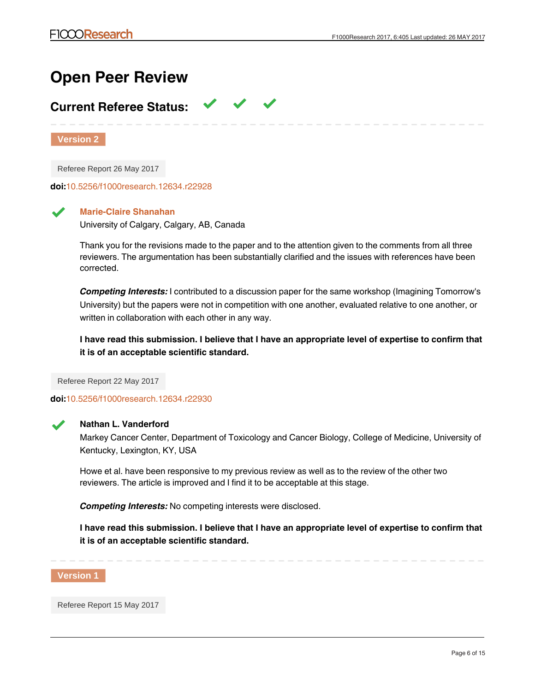# **Open Peer Review**

# **Current Referee Status:**

**Version 2**

Referee Report 26 May 2017

**doi:**[10.5256/f1000research.12634.r22928](http://dx.doi.org/10.5256/f1000research.12634.r22928)

**Marie-Claire Shanahan** University of Calgary, Calgary, AB, Canada

Thank you for the revisions made to the paper and to the attention given to the comments from all three reviewers. The argumentation has been substantially clarified and the issues with references have been corrected.

*Competing Interests:* I contributed to a discussion paper for the same workshop (Imagining Tomorrow's University) but the papers were not in competition with one another, evaluated relative to one another, or written in collaboration with each other in any way.

**I have read this submission. I believe that I have an appropriate level of expertise to confirm that it is of an acceptable scientific standard.**

Referee Report 22 May 2017

**doi:**[10.5256/f1000research.12634.r22930](http://dx.doi.org/10.5256/f1000research.12634.r22930)



# **Nathan L. Vanderford**

Markey Cancer Center, Department of Toxicology and Cancer Biology, College of Medicine, University of Kentucky, Lexington, KY, USA

Howe et al. have been responsive to my previous review as well as to the review of the other two reviewers. The article is improved and I find it to be acceptable at this stage.

*Competing Interests:* No competing interests were disclosed.

**I have read this submission. I believe that I have an appropriate level of expertise to confirm that it is of an acceptable scientific standard.**



Referee Report 15 May 2017

**doi:**[10.5256/f1000research.12118.r22286](http://dx.doi.org/10.5256/f1000research.12118.r22286)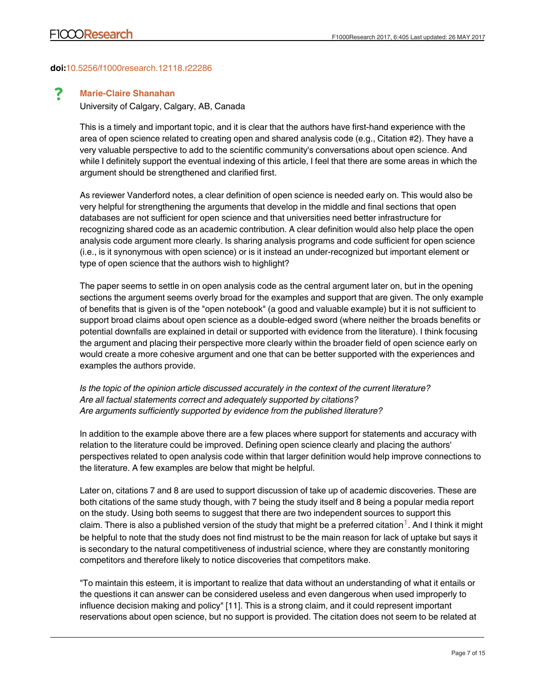# **doi:**[10.5256/f1000research.12118.r22286](http://dx.doi.org/10.5256/f1000research.12118.r22286)

#### ? **Marie-Claire Shanahan**

University of Calgary, Calgary, AB, Canada

This is a timely and important topic, and it is clear that the authors have first-hand experience with the area of open science related to creating open and shared analysis code (e.g., Citation #2). They have a very valuable perspective to add to the scientific community's conversations about open science. And while I definitely support the eventual indexing of this article, I feel that there are some areas in which the argument should be strengthened and clarified first.

As reviewer Vanderford notes, a clear definition of open science is needed early on. This would also be very helpful for strengthening the arguments that develop in the middle and final sections that open databases are not sufficient for open science and that universities need better infrastructure for recognizing shared code as an academic contribution. A clear definition would also help place the open analysis code argument more clearly. Is sharing analysis programs and code sufficient for open science (i.e., is it synonymous with open science) or is it instead an under-recognized but important element or type of open science that the authors wish to highlight?

The paper seems to settle in on open analysis code as the central argument later on, but in the opening sections the argument seems overly broad for the examples and support that are given. The only example of benefits that is given is of the "open notebook" (a good and valuable example) but it is not sufficient to support broad claims about open science as a double-edged sword (where neither the broads benefits or potential downfalls are explained in detail or supported with evidence from the literature). I think focusing the argument and placing their perspective more clearly within the broader field of open science early on would create a more cohesive argument and one that can be better supported with the experiences and examples the authors provide.

*Is the topic of the opinion article discussed accurately in the context of the current literature? Are all factual statements correct and adequately supported by citations? Are arguments sufficiently supported by evidence from the published literature?*

In addition to the example above there are a few places where support for statements and accuracy with relation to the literature could be improved. Defining open science clearly and placing the authors' perspectives related to open analysis code within that larger definition would help improve connections to the literature. A few examples are below that might be helpful.

Later on, citations 7 and 8 are used to support discussion of take up of academic discoveries. These are both citations of the same study though, with 7 being the study itself and 8 being a popular media report on the study. Using both seems to suggest that there are two independent sources to support this claim. There is also a published version of the study that might be a preferred citation<sup>[1](#page-7-0)</sup>. And I think it might be helpful to note that the study does not find mistrust to be the main reason for lack of uptake but says it is secondary to the natural competitiveness of industrial science, where they are constantly monitoring competitors and therefore likely to notice discoveries that competitors make.

"To maintain this esteem, it is important to realize that data without an understanding of what it entails or the questions it can answer can be considered useless and even dangerous when used improperly to influence decision making and policy" [11]. This is a strong claim, and it could represent important reservations about open science, but no support is provided. The citation does not seem to be related at

all (Title: "Electrically conductive bacterial nanowires produced by Shewanella one) strain  $\mathcal{L}$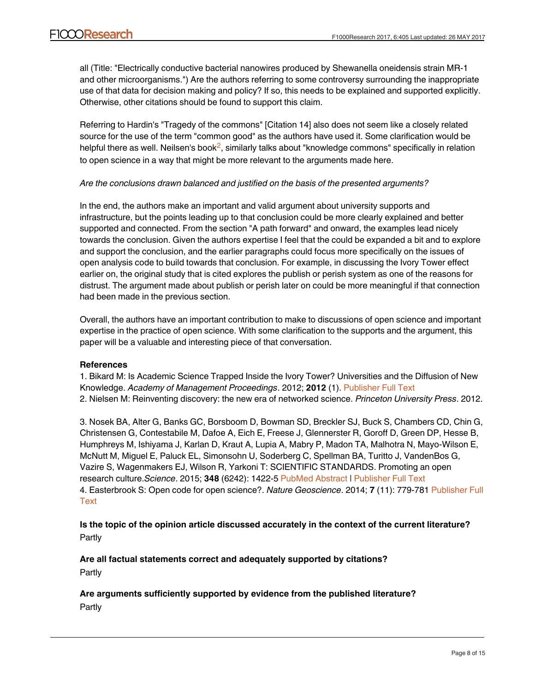all (Title: "Electrically conductive bacterial nanowires produced by Shewanella oneidensis strain MR-1 and other microorganisms.") Are the authors referring to some controversy surrounding the inappropriate use of that data for decision making and policy? If so, this needs to be explained and supported explicitly. Otherwise, other citations should be found to support this claim.

Referring to Hardin's "Tragedy of the commons" [Citation 14] also does not seem like a closely related source for the use of the term "common good" as the authors have used it. Some clarification would be helpful there as well. Neilsen's book<sup>[2](#page-7-1)</sup>, similarly talks about "knowledge commons" specifically in relation to open science in a way that might be more relevant to the arguments made here.

# *Are the conclusions drawn balanced and justified on the basis of the presented arguments?*

In the end, the authors make an important and valid argument about university supports and infrastructure, but the points leading up to that conclusion could be more clearly explained and better supported and connected. From the section "A path forward" and onward, the examples lead nicely towards the conclusion. Given the authors expertise I feel that the could be expanded a bit and to explore and support the conclusion, and the earlier paragraphs could focus more specifically on the issues of open analysis code to build towards that conclusion. For example, in discussing the Ivory Tower effect earlier on, the original study that is cited explores the publish or perish system as one of the reasons for distrust. The argument made about publish or perish later on could be more meaningful if that connection had been made in the previous section.

Overall, the authors have an important contribution to make to discussions of open science and important expertise in the practice of open science. With some clarification to the supports and the argument, this paper will be a valuable and interesting piece of that conversation.

# **References**

<span id="page-7-1"></span><span id="page-7-0"></span>1. Bikard M: Is Academic Science Trapped Inside the Ivory Tower? Universities and the Diffusion of New Knowledge. *Academy of Management Proceedings*. 2012; **2012** (1). [Publisher Full Text](http://dx.doi.org/10.5465/AMBPP.2012.189) 2. Nielsen M: Reinventing discovery: the new era of networked science. *Princeton University Press*. 2012.

3. Nosek BA, Alter G, Banks GC, Borsboom D, Bowman SD, Breckler SJ, Buck S, Chambers CD, Chin G, Christensen G, Contestabile M, Dafoe A, Eich E, Freese J, Glennerster R, Goroff D, Green DP, Hesse B, Humphreys M, Ishiyama J, Karlan D, Kraut A, Lupia A, Mabry P, Madon TA, Malhotra N, Mayo-Wilson E, McNutt M, Miguel E, Paluck EL, Simonsohn U, Soderberg C, Spellman BA, Turitto J, VandenBos G, Vazire S, Wagenmakers EJ, Wilson R, Yarkoni T: SCIENTIFIC STANDARDS. Promoting an open research culture.*Science*. 2015; **348** (6242): 1422-5 [PubMed Abstract](http://www.ncbi.nlm.nih.gov/pubmed/26113702) | [Publisher Full Text](http://dx.doi.org/10.1126/science.aab2374) 4. Easterbrook S: Open code for open science?. *Nature Geoscience*. 2014; **7** (11): 779-781 [Publisher Full](http://dx.doi.org/10.1038/ngeo2283) **[Text](http://dx.doi.org/10.1038/ngeo2283)** 

**Is the topic of the opinion article discussed accurately in the context of the current literature?** Partly

**Are the conclusions drawn balanced and justified on the basis of the presented arguments?**

**Are all factual statements correct and adequately supported by citations?** Partly

# **Are arguments sufficiently supported by evidence from the published literature?** Partly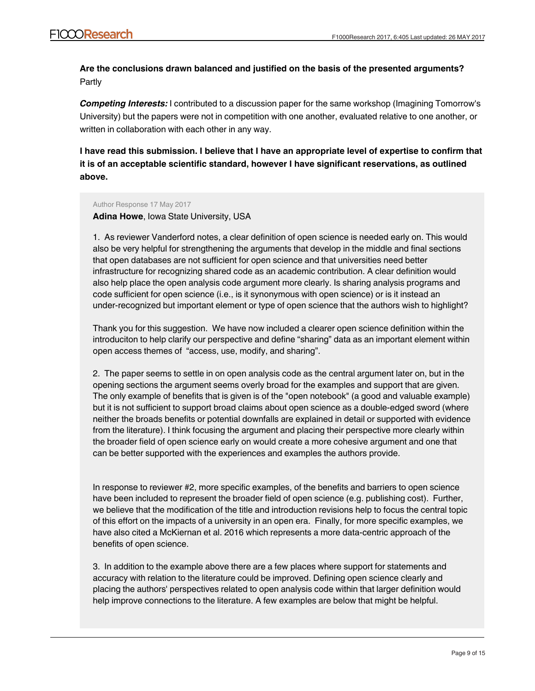# **Are the conclusions drawn balanced and justified on the basis of the presented arguments?** Partly

*Competing Interests:* I contributed to a discussion paper for the same workshop (Imagining Tomorrow's University) but the papers were not in competition with one another, evaluated relative to one another, or written in collaboration with each other in any way.

**I have read this submission. I believe that I have an appropriate level of expertise to confirm that it is of an acceptable scientific standard, however I have significant reservations, as outlined above.**

### Author Response 17 May 2017

**Adina Howe**, Iowa State University, USA

1. As reviewer Vanderford notes, a clear definition of open science is needed early on. This would also be very helpful for strengthening the arguments that develop in the middle and final sections that open databases are not sufficient for open science and that universities need better infrastructure for recognizing shared code as an academic contribution. A clear definition would also help place the open analysis code argument more clearly. Is sharing analysis programs and code sufficient for open science (i.e., is it synonymous with open science) or is it instead an under-recognized but important element or type of open science that the authors wish to highlight?

Thank you for this suggestion. We have now included a clearer open science definition within the introduciton to help clarify our perspective and define "sharing" data as an important element within open access themes of "access, use, modify, and sharing".

2. The paper seems to settle in on open analysis code as the central argument later on, but in the opening sections the argument seems overly broad for the examples and support that are given. The only example of benefits that is given is of the "open notebook" (a good and valuable example) but it is not sufficient to support broad claims about open science as a double-edged sword (where neither the broads benefits or potential downfalls are explained in detail or supported with evidence from the literature). I think focusing the argument and placing their perspective more clearly within the broader field of open science early on would create a more cohesive argument and one that can be better supported with the experiences and examples the authors provide.

In response to reviewer #2, more specific examples, of the benefits and barriers to open science have been included to represent the broader field of open science (e.g. publishing cost). Further, we believe that the modification of the title and introduction revisions help to focus the central topic of this effort on the impacts of a university in an open era. Finally, for more specific examples, we have also cited a McKiernan et al. 2016 which represents a more data-centric approach of the benefits of open science.

3. In addition to the example above there are a few places where support for statements and accuracy with relation to the literature could be improved. Defining open science clearly and placing the authors' perspectives related to open analysis code within that larger definition would help improve connections to the literature. A few examples are below that might be helpful.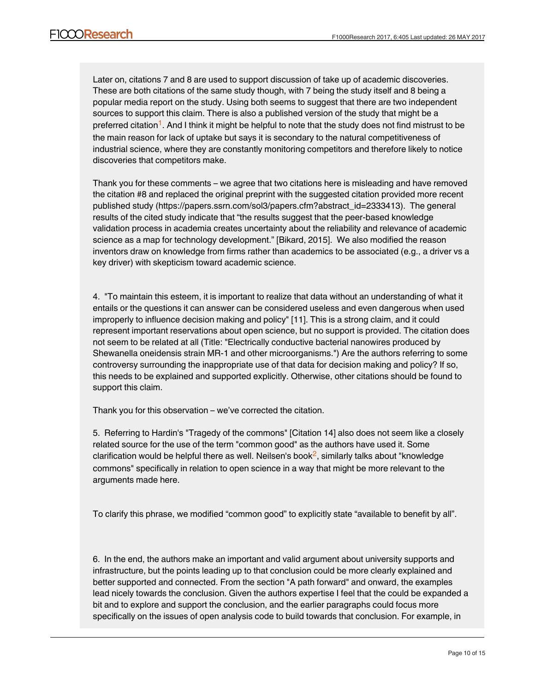Later on, citations 7 and 8 are used to support discussion of take up of academic discoveries. These are both citations of the same study though, with 7 being the study itself and 8 being a popular media report on the study. Using both seems to suggest that there are two independent sources to support this claim. There is also a published version of the study that might be a preferred citation<sup>[1](https://f1000research.com/articles/6-405/v1#rep-ref-22286-1)</sup>. And I think it might be helpful to note that the study does not find mistrust to be the main reason for lack of uptake but says it is secondary to the natural competitiveness of industrial science, where they are constantly monitoring competitors and therefore likely to notice discoveries that competitors make.

Thank you for these comments – we agree that two citations here is misleading and have removed the citation #8 and replaced the original preprint with the suggested citation provided more recent published study (https://papers.ssrn.com/sol3/papers.cfm?abstract\_id=2333413). The general results of the cited study indicate that "the results suggest that the peer-based knowledge validation process in academia creates uncertainty about the reliability and relevance of academic science as a map for technology development." [Bikard, 2015]. We also modified the reason inventors draw on knowledge from firms rather than academics to be associated (e.g., a driver vs a key driver) with skepticism toward academic science.

4. "To maintain this esteem, it is important to realize that data without an understanding of what it entails or the questions it can answer can be considered useless and even dangerous when used improperly to influence decision making and policy" [11]. This is a strong claim, and it could represent important reservations about open science, but no support is provided. The citation does not seem to be related at all (Title: "Electrically conductive bacterial nanowires produced by Shewanella oneidensis strain MR-1 and other microorganisms.") Are the authors referring to some controversy surrounding the inappropriate use of that data for decision making and policy? If so, this needs to be explained and supported explicitly. Otherwise, other citations should be found to support this claim.

Thank you for this observation – we've corrected the citation.

5. Referring to Hardin's "Tragedy of the commons" [Citation 14] also does not seem like a closely related source for the use of the term "common good" as the authors have used it. Some clarification would be helpful there as well. Neilsen's book $^2$  $^2$ , similarly talks about "knowledge commons" specifically in relation to open science in a way that might be more relevant to the arguments made here.

To clarify this phrase, we modified "common good" to explicitly state "available to benefit by all".

6. In the end, the authors make an important and valid argument about university supports and infrastructure, but the points leading up to that conclusion could be more clearly explained and better supported and connected. From the section "A path forward" and onward, the examples lead nicely towards the conclusion. Given the authors expertise I feel that the could be expanded a bit and to explore and support the conclusion, and the earlier paragraphs could focus more specifically on the issues of open analysis code to build towards that conclusion. For example, in

discussing the Ivory Tower effect earlier on, the original study that is cited explores the publish or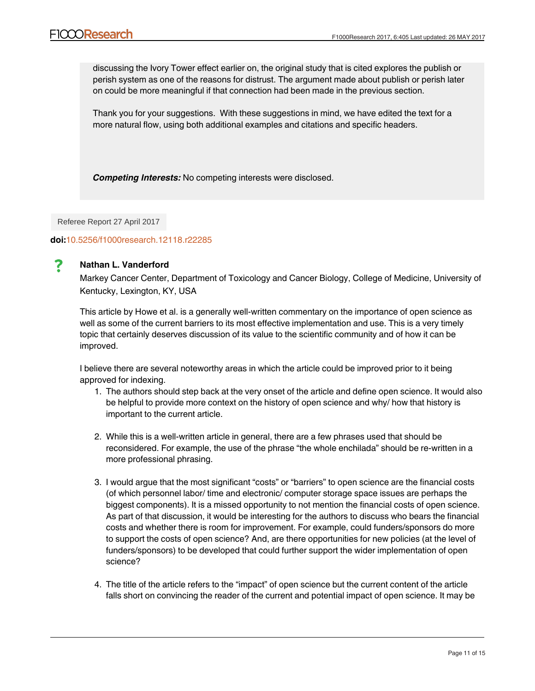discussing the Ivory Tower effect earlier on, the original study that is cited explores the publish or perish system as one of the reasons for distrust. The argument made about publish or perish later on could be more meaningful if that connection had been made in the previous section.

Thank you for your suggestions. With these suggestions in mind, we have edited the text for a more natural flow, using both additional examples and citations and specific headers.

*Competing Interests:* No competing interests were disclosed.

Referee Report 27 April 2017

# **doi:**[10.5256/f1000research.12118.r22285](http://dx.doi.org/10.5256/f1000research.12118.r22285)



# **Nathan L. Vanderford**

Markey Cancer Center, Department of Toxicology and Cancer Biology, College of Medicine, University of Kentucky, Lexington, KY, USA

This article by Howe et al. is a generally well-written commentary on the importance of open science as well as some of the current barriers to its most effective implementation and use. This is a very timely topic that certainly deserves discussion of its value to the scientific community and of how it can be improved.

I believe there are several noteworthy areas in which the article could be improved prior to it being approved for indexing.

- 1. The authors should step back at the very onset of the article and define open science. It would also be helpful to provide more context on the history of open science and why/ how that history is important to the current article.
- 2. While this is a well-written article in general, there are a few phrases used that should be reconsidered. For example, the use of the phrase "the whole enchilada" should be re-written in a more professional phrasing.
- 3. I would argue that the most significant "costs" or "barriers" to open science are the financial costs (of which personnel labor/ time and electronic/ computer storage space issues are perhaps the biggest components). It is a missed opportunity to not mention the financial costs of open science. As part of that discussion, it would be interesting for the authors to discuss who bears the financial costs and whether there is room for improvement. For example, could funders/sponsors do more to support the costs of open science? And, are there opportunities for new policies (at the level of funders/sponsors) to be developed that could further support the wider implementation of open science?
- 4. The title of the article refers to the "impact" of open science but the current content of the article falls short on convincing the reader of the current and potential impact of open science. It may be

wordh providing some specific examples of how operating of how open science has been used to make impactful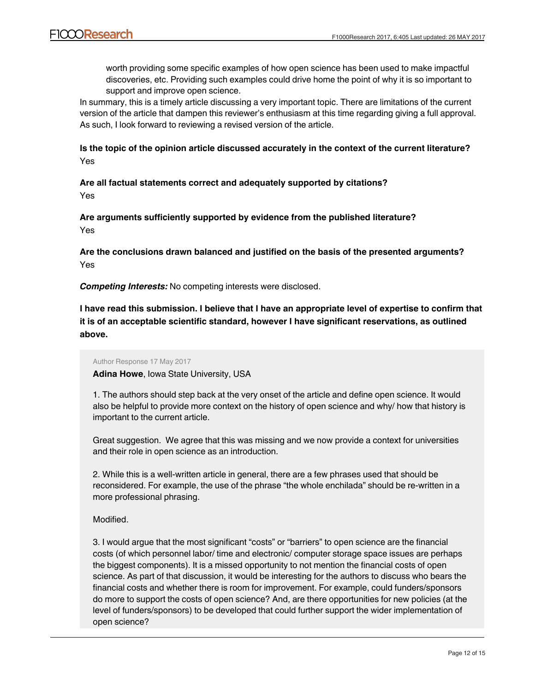worth providing some specific examples of how open science has been used to make impactful discoveries, etc. Providing such examples could drive home the point of why it is so important to support and improve open science.

In summary, this is a timely article discussing a very important topic. There are limitations of the current version of the article that dampen this reviewer's enthusiasm at this time regarding giving a full approval. As such, I look forward to reviewing a revised version of the article.

# **Is the topic of the opinion article discussed accurately in the context of the current literature?** Yes

**Are all factual statements correct and adequately supported by citations?** Yes

**Are arguments sufficiently supported by evidence from the published literature?** Yes

**Are the conclusions drawn balanced and justified on the basis of the presented arguments?** Yes

*Competing Interests:* No competing interests were disclosed.

**I have read this submission. I believe that I have an appropriate level of expertise to confirm that it is of an acceptable scientific standard, however I have significant reservations, as outlined above.**

### Author Response 17 May 2017

**Adina Howe**, Iowa State University, USA

1. The authors should step back at the very onset of the article and define open science. It would also be helpful to provide more context on the history of open science and why/ how that history is important to the current article.

Great suggestion. We agree that this was missing and we now provide a context for universities and their role in open science as an introduction.

2. While this is a well-written article in general, there are a few phrases used that should be reconsidered. For example, the use of the phrase "the whole enchilada" should be re-written in a more professional phrasing.

Modified.

3. I would argue that the most significant "costs" or "barriers" to open science are the financial costs (of which personnel labor/ time and electronic/ computer storage space issues are perhaps the biggest components). It is a missed opportunity to not mention the financial costs of open science. As part of that discussion, it would be interesting for the authors to discuss who bears the financial costs and whether there is room for improvement. For example, could funders/sponsors do more to support the costs of open science? And, are there opportunities for new policies (at the level of funders/sponsors) to be developed that could further support the wider implementation of open science?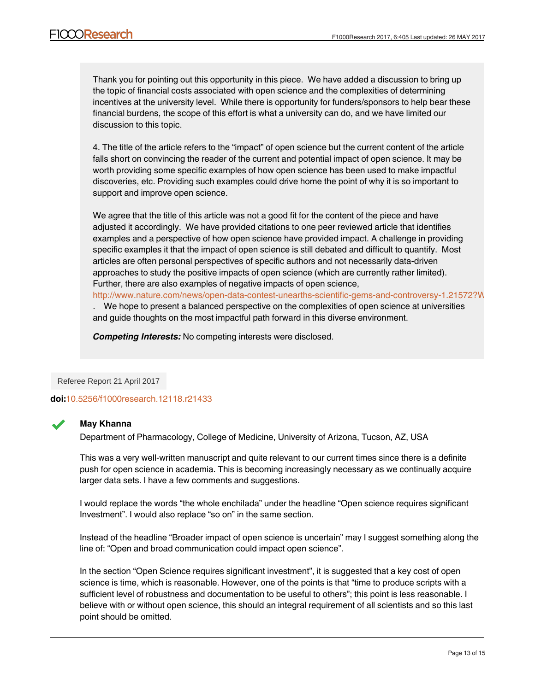Thank you for pointing out this opportunity in this piece. We have added a discussion to bring up the topic of financial costs associated with open science and the complexities of determining incentives at the university level. While there is opportunity for funders/sponsors to help bear these financial burdens, the scope of this effort is what a university can do, and we have limited our discussion to this topic.

4. The title of the article refers to the "impact" of open science but the current content of the article falls short on convincing the reader of the current and potential impact of open science. It may be worth providing some specific examples of how open science has been used to make impactful discoveries, etc. Providing such examples could drive home the point of why it is so important to support and improve open science.

We agree that the title of this article was not a good fit for the content of the piece and have adjusted it accordingly. We have provided citations to one peer reviewed article that identifies examples and a perspective of how open science have provided impact. A challenge in providing specific examples it that the impact of open science is still debated and difficult to quantify. Most articles are often personal perspectives of specific authors and not necessarily data-driven approaches to study the positive impacts of open science (which are currently rather limited). Further, there are also examples of negative impacts of open science,

http://www.nature.com/news/open-data-contest-unearths-scientific-gems-and-controversy-1.21572?W

. We hope to present a balanced perspective on the complexities of open science at universities and guide thoughts on the most impactful path forward in this diverse environment.

*Competing Interests:* No competing interests were disclosed.

Referee Report 21 April 2017

**doi:**[10.5256/f1000research.12118.r21433](http://dx.doi.org/10.5256/f1000research.12118.r21433)



## **May Khanna**

Department of Pharmacology, College of Medicine, University of Arizona, Tucson, AZ, USA

This was a very well-written manuscript and quite relevant to our current times since there is a definite push for open science in academia. This is becoming increasingly necessary as we continually acquire larger data sets. I have a few comments and suggestions.

I would replace the words "the whole enchilada" under the headline "Open science requires significant Investment". I would also replace "so on" in the same section.

Instead of the headline "Broader impact of open science is uncertain" may I suggest something along the line of: "Open and broad communication could impact open science".

In the section "Open Science requires significant investment", it is suggested that a key cost of open science is time, which is reasonable. However, one of the points is that "time to produce scripts with a sufficient level of robustness and documentation to be useful to others"; this point is less reasonable. I believe with or without open science, this should an integral requirement of all scientists and so this last point should be omitted.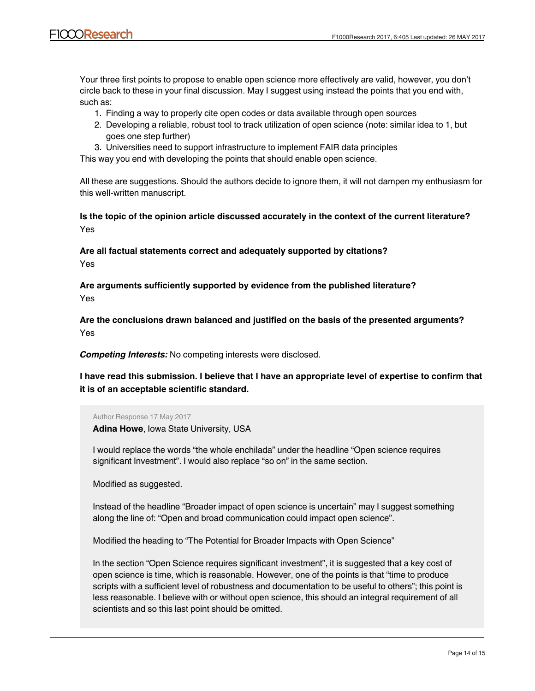Your three first points to propose to enable open science more effectively are valid, however, you don't circle back to these in your final discussion. May I suggest using instead the points that you end with, such as:

- 1. Finding a way to properly cite open codes or data available through open sources
- 2. Developing a reliable, robust tool to track utilization of open science (note: similar idea to 1, but goes one step further)
- 3. Universities need to support infrastructure to implement FAIR data principles

This way you end with developing the points that should enable open science.

All these are suggestions. Should the authors decide to ignore them, it will not dampen my enthusiasm for this well-written manuscript.

**Is the topic of the opinion article discussed accurately in the context of the current literature?** Yes

**Are all factual statements correct and adequately supported by citations?**

Yes

**Are arguments sufficiently supported by evidence from the published literature?** Yes

**Are the conclusions drawn balanced and justified on the basis of the presented arguments?** Yes

*Competing Interests:* No competing interests were disclosed.

**I have read this submission. I believe that I have an appropriate level of expertise to confirm that it is of an acceptable scientific standard.**

Author Response 17 May 2017

**Adina Howe**, Iowa State University, USA

I would replace the words "the whole enchilada" under the headline "Open science requires significant Investment". I would also replace "so on" in the same section.

Modified as suggested.

Instead of the headline "Broader impact of open science is uncertain" may I suggest something along the line of: "Open and broad communication could impact open science".

Modified the heading to "The Potential for Broader Impacts with Open Science"

In the section "Open Science requires significant investment", it is suggested that a key cost of open science is time, which is reasonable. However, one of the points is that "time to produce scripts with a sufficient level of robustness and documentation to be useful to others"; this point is less reasonable. I believe with or without open science, this should an integral requirement of all scientists and so this last point should be omitted.

Modified this sentence to time to  $\mathcal{A}$  sentence scripts with a sufficient level of robustness and  $\mathcal{A}$